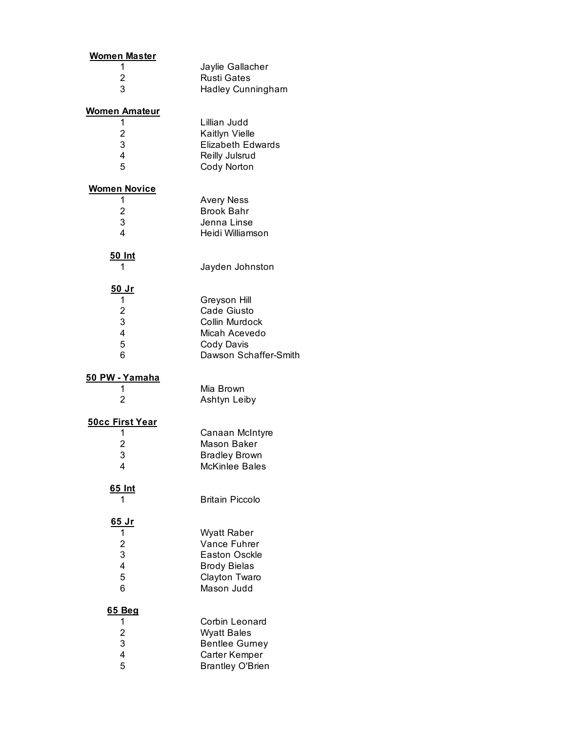| <u>Women Master</u><br>1<br>2<br>3                                           | Jaylie Gallacher<br><b>Rusti Gates</b><br>Hadley Cunningham                                                      |
|------------------------------------------------------------------------------|------------------------------------------------------------------------------------------------------------------|
| <b>Women Amateur</b><br>1<br>$\begin{array}{c} 2 \\ 3 \\ 4 \end{array}$<br>5 | Lillian Judd<br>Kaitlyn Vielle<br><b>Elizabeth Edwards</b><br>Reilly Julsrud<br>Cody Norton                      |
| <b>Women Novice</b><br>1<br>$\begin{array}{c} 2 \\ 3 \\ 4 \end{array}$       | <b>Avery Ness</b><br><b>Brook Bahr</b><br>Jenna Linse<br>Heidi Williamson                                        |
| <u>50 Int</u><br>1                                                           | Jayden Johnston                                                                                                  |
| <u>50 Jr</u><br>1<br>$\begin{array}{c} 2 \\ 3 \\ 4 \end{array}$<br>5<br>6    | Greyson Hill<br><b>Cade Giusto</b><br>Collin Murdock<br>Micah Acevedo<br>Cody Davis<br>Dawson Schaffer-Smith     |
| <u>50 PW - Yamaha</u><br>1<br>2                                              | Mia Brown<br>Ashtyn Leiby                                                                                        |
| <u>50cc First Year</u><br>1<br>$\frac{2}{3}$<br>4                            | Canaan McIntyre<br>Mason Baker<br><b>Bradley Brown</b><br>McKinlee Bales                                         |
| 65 Int<br>1                                                                  | <b>Britain Piccolo</b>                                                                                           |
| <u>65 Jr</u><br>1<br>$\begin{array}{c} 2 \\ 3 \\ 4 \end{array}$<br>5<br>6    | Wyatt Raber<br><b>Vance Fuhrer</b><br><b>Easton Osckle</b><br><b>Brody Bielas</b><br>Clayton Twaro<br>Mason Judd |
| 65 Beg<br>1<br>$\begin{array}{c} 2 \\ 3 \\ 4 \end{array}$<br>5               | Corbin Leonard<br><b>Wyatt Bales</b><br><b>Bentlee Gurney</b><br>Carter Kemper<br><b>Brantley O'Brien</b>        |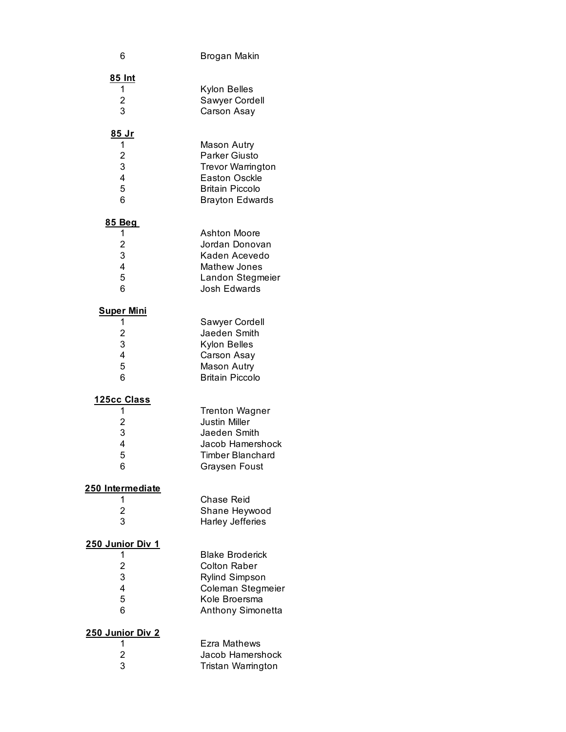| 6                                                                           | Brogan Makin                                                                                                                      |
|-----------------------------------------------------------------------------|-----------------------------------------------------------------------------------------------------------------------------------|
| 85 Int                                                                      | Kylon Belles                                                                                                                      |
| 1                                                                           | Sawyer Cordell                                                                                                                    |
| $\frac{2}{3}$                                                               | Carson Asay                                                                                                                       |
| <u>85 Jr</u>                                                                | Mason Autry                                                                                                                       |
| 1                                                                           | <b>Parker Giusto</b>                                                                                                              |
| $\frac{2}{3}$                                                               | <b>Trevor Warrington</b>                                                                                                          |
| 4                                                                           | <b>Easton Osckle</b>                                                                                                              |
| 5                                                                           | <b>Britain Piccolo</b>                                                                                                            |
| 6                                                                           | <b>Brayton Edwards</b>                                                                                                            |
| <u>85 Beg</u>                                                               | <b>Ashton Moore</b>                                                                                                               |
| 1                                                                           | Jordan Donovan                                                                                                                    |
| $\frac{2}{3}$                                                               | Kaden Acevedo                                                                                                                     |
| 4                                                                           | <b>Mathew Jones</b>                                                                                                               |
| 5                                                                           | Landon Stegmeier                                                                                                                  |
| 6                                                                           | Josh Edwards                                                                                                                      |
| <b>Super Mini</b>                                                           | Sawyer Cordell                                                                                                                    |
| 1                                                                           | Jaeden Smith                                                                                                                      |
| $\frac{2}{3}$                                                               | Kylon Belles                                                                                                                      |
| $\overline{\mathbf{4}}$                                                     | Carson Asay                                                                                                                       |
| 5                                                                           | <b>Mason Autry</b>                                                                                                                |
| 6                                                                           | <b>Britain Piccolo</b>                                                                                                            |
| <u> 125cc Class</u><br>1<br>2<br>3<br>4<br>5<br>6                           | <b>Trenton Wagner</b><br><b>Justin Miller</b><br>Jaeden Smith<br>Jacob Hamershock<br>Timber Blanchard<br><b>Graysen Foust</b>     |
| 250 Intermediate<br>1<br>$\overline{c}$<br>3                                | <b>Chase Reid</b><br>Shane Heywood<br><b>Harley Jefferies</b>                                                                     |
| <u>250 Junior Div 1</u><br>1<br>$\overline{\mathbf{c}}$<br>3<br>4<br>5<br>6 | <b>Blake Broderick</b><br><b>Colton Raber</b><br><b>Rylind Simpson</b><br>Coleman Stegmeier<br>Kole Broersma<br>Anthony Simonetta |
| 250 Junior Div 2                                                            | Ezra Mathews                                                                                                                      |
| 1                                                                           | Jacob Hamershock                                                                                                                  |
| $\frac{2}{3}$                                                               | Tristan Warrington                                                                                                                |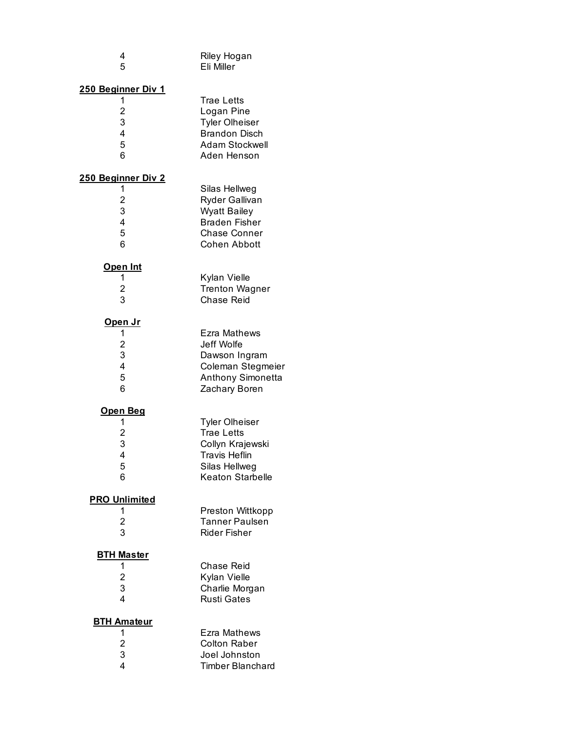| 4<br>5                                                        | Riley Hogan<br>Eli Miller                                                                                                   |
|---------------------------------------------------------------|-----------------------------------------------------------------------------------------------------------------------------|
| 250 Beginner Div 1<br>1<br>$\overline{c}$<br>3<br>4<br>5<br>6 | <b>Trae Letts</b><br>Logan Pine<br><b>Tyler Olheiser</b><br><b>Brandon Disch</b><br>Adam Stockwell<br>Aden Henson           |
| 250 Beginner Div 2<br>1<br>$\overline{c}$<br>3<br>4<br>5<br>6 | Silas Hellweg<br>Ryder Gallivan<br><b>Wyatt Bailey</b><br><b>Braden Fisher</b><br><b>Chase Conner</b><br>Cohen Abbott       |
| <u>Open Int</u><br>1<br>2<br>3                                | Kylan Vielle<br><b>Trenton Wagner</b><br><b>Chase Reid</b>                                                                  |
| <u>Open Jr</u><br>1<br>$\overline{2}$<br>3<br>4<br>5<br>6     | Ezra Mathews<br>Jeff Wolfe<br>Dawson Ingram<br>Coleman Stegmeier<br>Anthony Simonetta<br>Zachary Boren                      |
| <u>Open Beg</u><br>1<br>$\overline{2}$<br>3<br>4<br>5<br>6    | <b>Tyler Olheiser</b><br><b>Trae Letts</b><br>Collyn Krajewski<br><b>Travis Heflin</b><br>Silas Hellweg<br>Keaton Starbelle |
| <b>PRO Unlimited</b><br>1<br>2<br>3                           | Preston Wittkopp<br><b>Tanner Paulsen</b><br><b>Rider Fisher</b>                                                            |
| <b>BTH Master</b><br>1<br>2<br>3<br>4                         | Chase Reid<br>Kylan Vielle<br>Charlie Morgan<br><b>Rusti Gates</b>                                                          |
| <b>BTH Amateur</b><br>1<br>$\overline{c}$<br>3<br>4           | Ezra Mathews<br><b>Colton Raber</b><br>Joel Johnston<br><b>Timber Blanchard</b>                                             |